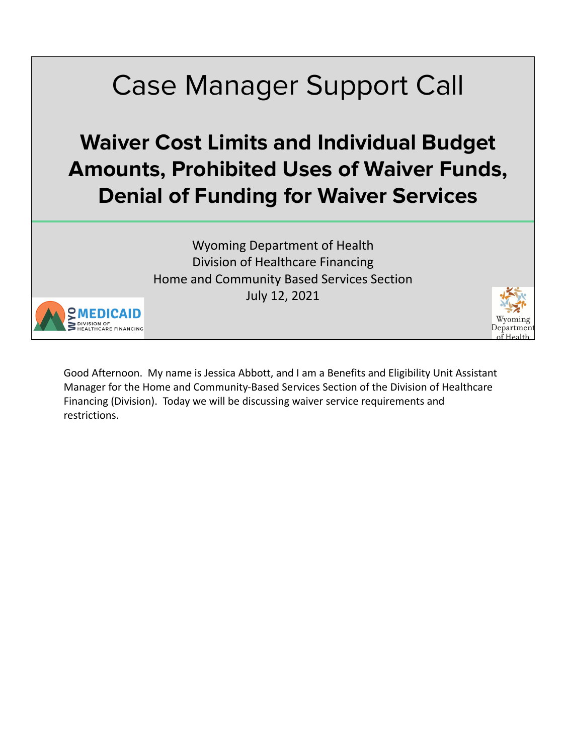# Case Manager Support Call

#### **Waiver Cost Limits and Individual Budget Amounts, Prohibited Uses of Waiver Funds, Denial of Funding for Waiver Services**

Wyoming Department of Health Division of Healthcare Financing Home and Community Based Services Section July 12, 2021



Good Afternoon. My name is Jessica Abbott, and I am a Benefits and Eligibility Unit Assistant Manager for the Home and Community-Based Services Section of the Division of Healthcare Financing (Division). Today we will be discussing waiver service requirements and restrictions.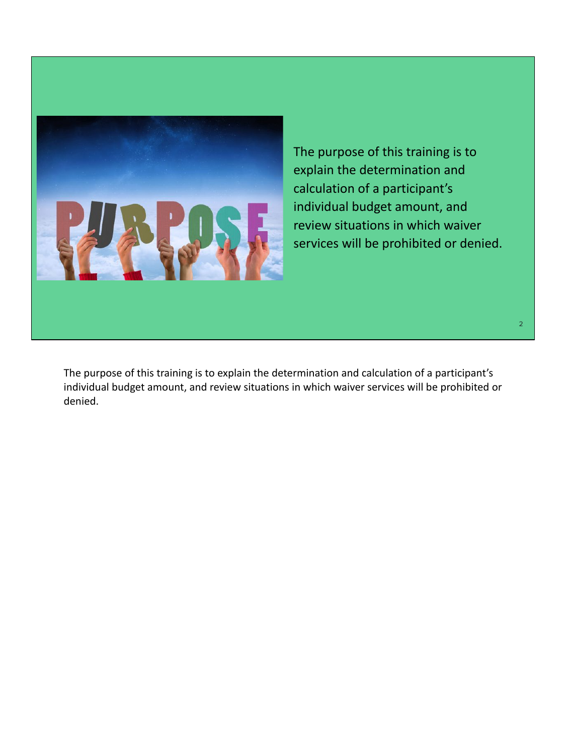

The purpose of this training is to explain the determination and calculation of a participant's individual budget amount, and review situations in which waiver services will be prohibited or denied.

The purpose of this training is to explain the determination and calculation of a participant's individual budget amount, and review situations in which waiver services will be prohibited or denied.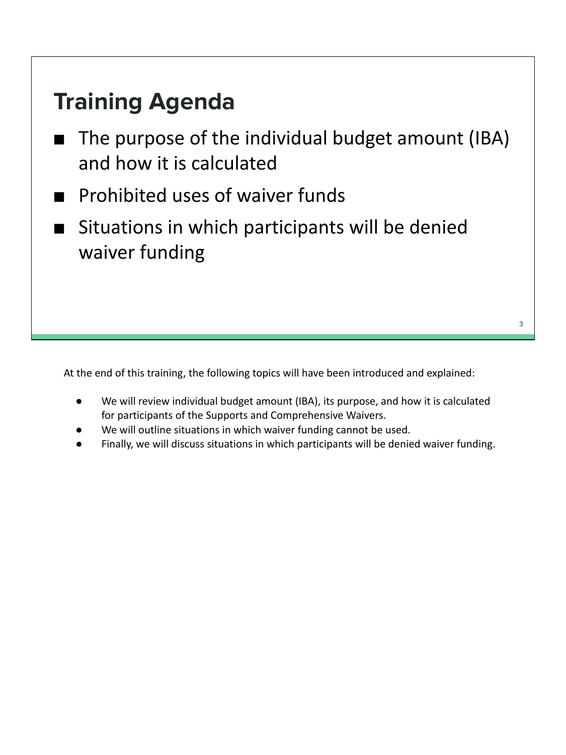#### **Training Agenda**

- The purpose of the individual budget amount (IBA) and how it is calculated
- Prohibited uses of waiver funds
- Situations in which participants will be denied waiver funding

At the end of this training, the following topics will have been introduced and explained:

● We will review individual budget amount (IBA), its purpose, and how it is calculated for participants of the Supports and Comprehensive Waivers.

- We will outline situations in which waiver funding cannot be used.
- Finally, we will discuss situations in which participants will be denied waiver funding.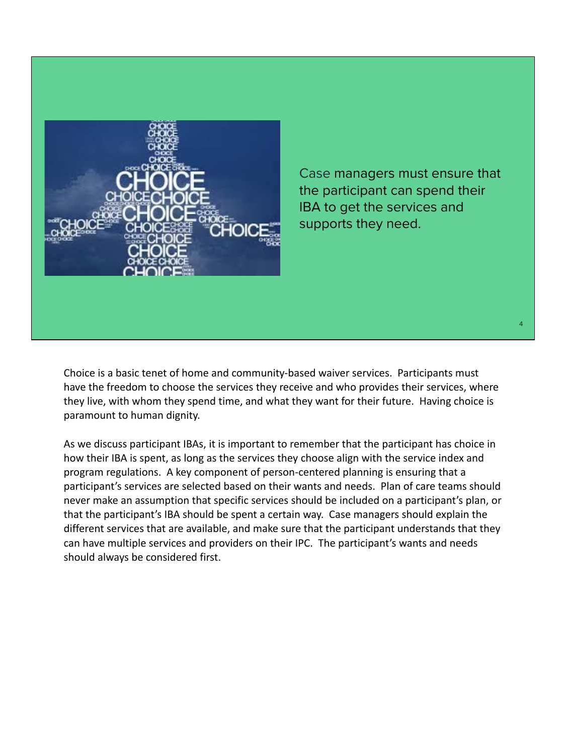

Case managers must ensure that the participant can spend their IBA to get the services and supports they need.

Choice is a basic tenet of home and community-based waiver services. Participants must have the freedom to choose the services they receive and who provides their services, where they live, with whom they spend time, and what they want for their future. Having choice is paramount to human dignity.

As we discuss participant IBAs, it is important to remember that the participant has choice in how their IBA is spent, as long as the services they choose align with the service index and program regulations. A key component of person-centered planning is ensuring that a participant's services are selected based on their wants and needs. Plan of care teams should never make an assumption that specific services should be included on a participant's plan, or that the participant's IBA should be spent a certain way. Case managers should explain the different services that are available, and make sure that the participant understands that they can have multiple services and providers on their IPC. The participant's wants and needs should always be considered first.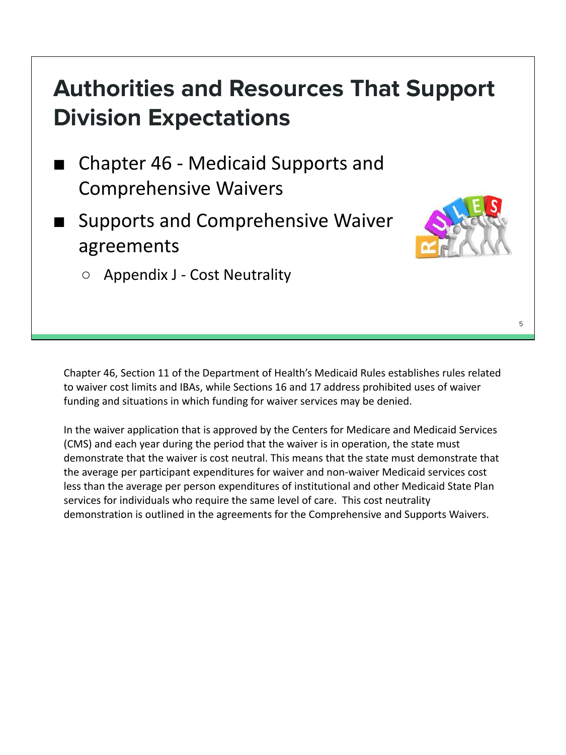# **Authorities and Resources That Support Division Expectations**

- Chapter 46 Medicaid Supports and Comprehensive Waivers
- Supports and Comprehensive Waiver agreements



○ Appendix J - Cost Neutrality

Chapter 46, Section 11 of the Department of Health's Medicaid Rules establishes rules related to waiver cost limits and IBAs, while Sections 16 and 17 address prohibited uses of waiver funding and situations in which funding for waiver services may be denied.

In the waiver application that is approved by the Centers for Medicare and Medicaid Services (CMS) and each year during the period that the waiver is in operation, the state must demonstrate that the waiver is cost neutral. This means that the state must demonstrate that the average per participant expenditures for waiver and non-waiver Medicaid services cost less than the average per person expenditures of institutional and other Medicaid State Plan services for individuals who require the same level of care. This cost neutrality demonstration is outlined in the agreements for the Comprehensive and Supports Waivers.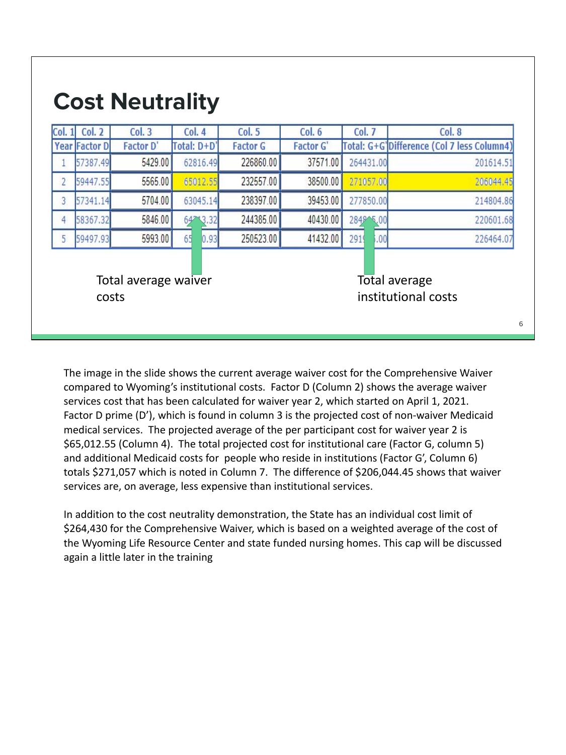| Col. 1 | <b>Col. 2</b>        | Col.3                | Col. 4      | Col. 5          | Col. 6           | Col. 7      | Col.8                                      |
|--------|----------------------|----------------------|-------------|-----------------|------------------|-------------|--------------------------------------------|
|        | <b>Year Factor D</b> | <b>Factor D'</b>     | Total: D+D' | <b>Factor G</b> | <b>Factor G'</b> |             | Total: G+G'Difference (Col 7 less Column4) |
|        | 57387.49             | 5429.00              | 62816.49    | 226860.00       | 37571.00         | 264431.00   | 201614.51                                  |
| 2      | 59447.55             | 5565.00              | 65012.55    | 232557.00       | 38500.00         | 271057.00   | 206044.45                                  |
| 3      | 57341.14             | 5704.00              | 63045.14    | 238397.00       | 39453.00         | 277850.00   | 214804.86                                  |
| 4      | 58367.32             | 5846.00              | 3.32<br>642 | 244385.00       | 40430.00         | 2849 5,00   | 220601.68                                  |
| 5      | 59497.93             | 5993.00              | 65<br>0.93  | 250523.00       | 41432.00         | 2919<br>00, | 226464.07                                  |
|        | costs                | Total average waiver |             |                 |                  |             | Total average<br>institutional costs       |

The image in the slide shows the current average waiver cost for the Comprehensive Waiver compared to Wyoming's institutional costs. Factor D (Column 2) shows the average waiver services cost that has been calculated for waiver year 2, which started on April 1, 2021. Factor D prime (D'), which is found in column 3 is the projected cost of non-waiver Medicaid medical services. The projected average of the per participant cost for waiver year 2 is \$65,012.55 (Column 4). The total projected cost for institutional care (Factor G, column 5) and additional Medicaid costs for people who reside in institutions (Factor G', Column 6) totals \$271,057 which is noted in Column 7. The difference of \$206,044.45 shows that waiver services are, on average, less expensive than institutional services.

In addition to the cost neutrality demonstration, the State has an individual cost limit of \$264,430 for the Comprehensive Waiver, which is based on a weighted average of the cost of the Wyoming Life Resource Center and state funded nursing homes. This cap will be discussed again a little later in the training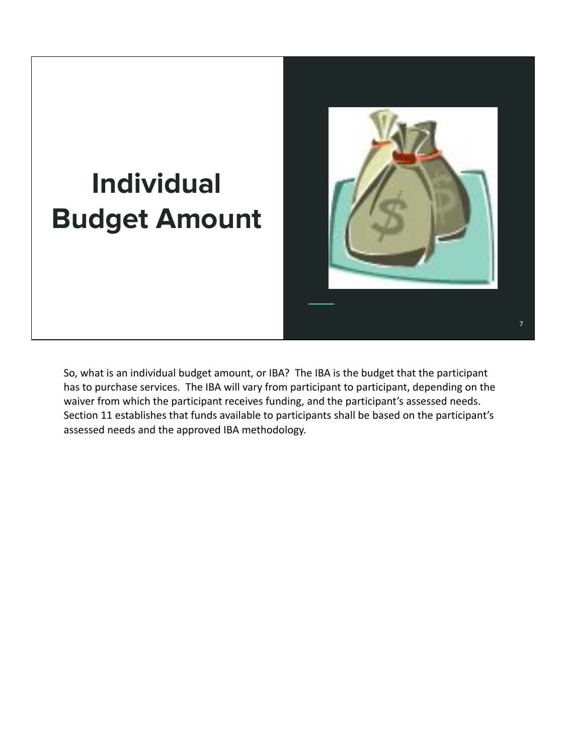# **Individual Budget Amount**



7

So, what is an individual budget amount, or IBA? The IBA is the budget that the participant has to purchase services. The IBA will vary from participant to participant, depending on the waiver from which the participant receives funding, and the participant's assessed needs. Section 11 establishes that funds available to participants shall be based on the participant's assessed needs and the approved IBA methodology.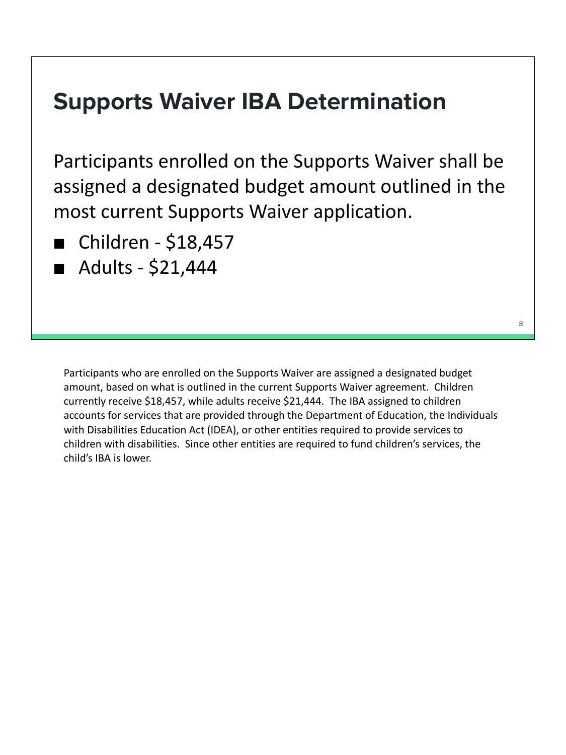#### **Supports Waiver IBA Determination**

Participants enrolled on the Supports Waiver shall be assigned a designated budget amount outlined in the most current Supports Waiver application.

- Children \$18,457
- Adults \$21,444

Participants who are enrolled on the Supports Waiver are assigned a designated budget amount, based on what is outlined in the current Supports Waiver agreement. Children currently receive \$18,457, while adults receive \$21,444. The IBA assigned to children accounts for services that are provided through the Department of Education, the Individuals with Disabilities Education Act (IDEA), or other entities required to provide services to children with disabilities. Since other entities are required to fund children's services, the child's IBA is lower.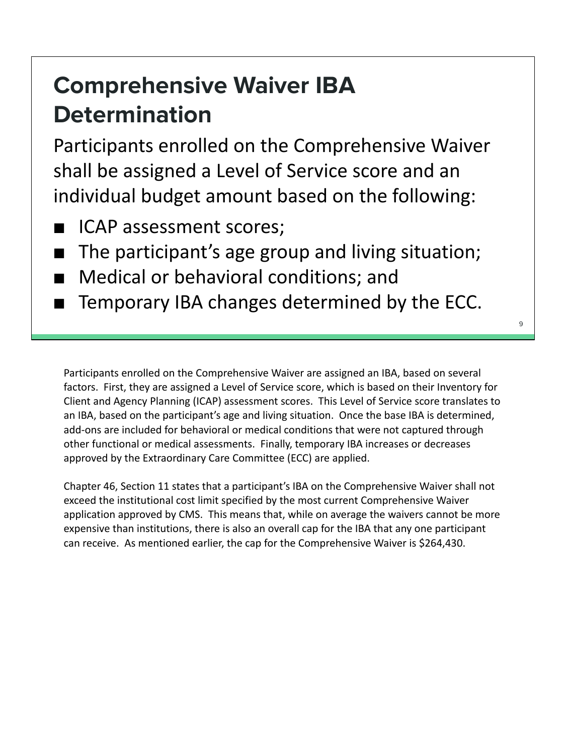## **Comprehensive Waiver IBA Determination**

Participants enrolled on the Comprehensive Waiver shall be assigned a Level of Service score and an individual budget amount based on the following:

- ICAP assessment scores;
- The participant's age group and living situation;
- Medical or behavioral conditions; and
- Temporary IBA changes determined by the ECC.

Participants enrolled on the Comprehensive Waiver are assigned an IBA, based on several factors. First, they are assigned a Level of Service score, which is based on their Inventory for Client and Agency Planning (ICAP) assessment scores. This Level of Service score translates to an IBA, based on the participant's age and living situation. Once the base IBA is determined, add-ons are included for behavioral or medical conditions that were not captured through other functional or medical assessments. Finally, temporary IBA increases or decreases approved by the Extraordinary Care Committee (ECC) are applied.

Chapter 46, Section 11 states that a participant's IBA on the Comprehensive Waiver shall not exceed the institutional cost limit specified by the most current Comprehensive Waiver application approved by CMS. This means that, while on average the waivers cannot be more expensive than institutions, there is also an overall cap for the IBA that any one participant can receive. As mentioned earlier, the cap for the Comprehensive Waiver is \$264,430.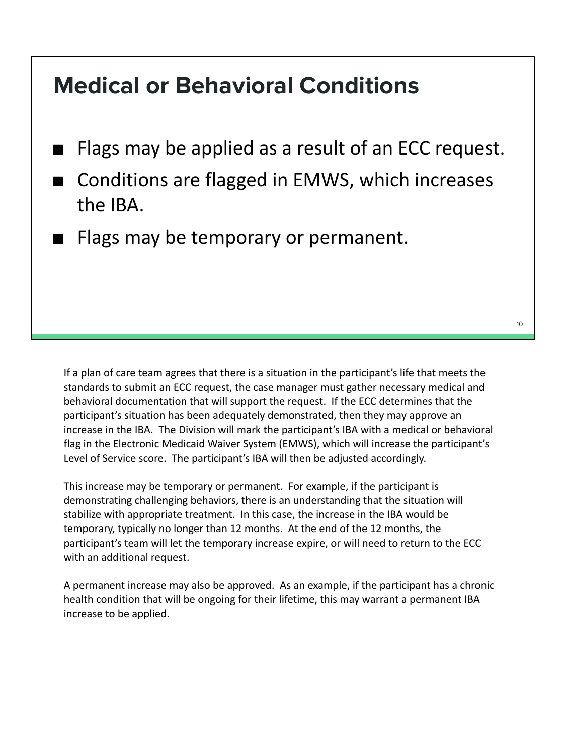#### **Medical or Behavioral Conditions**

- Flags may be applied as a result of an ECC request.
- Conditions are flagged in EMWS, which increases the IBA.
- Flags may be temporary or permanent.

If a plan of care team agrees that there is a situation in the participant's life that meets the standards to submit an ECC request, the case manager must gather necessary medical and behavioral documentation that will support the request. If the ECC determines that the participant's situation has been adequately demonstrated, then they may approve an increase in the IBA. The Division will mark the participant's IBA with a medical or behavioral flag in the Electronic Medicaid Waiver System (EMWS), which will increase the participant's Level of Service score. The participant's IBA will then be adjusted accordingly.

This increase may be temporary or permanent. For example, if the participant is demonstrating challenging behaviors, there is an understanding that the situation will stabilize with appropriate treatment. In this case, the increase in the IBA would be temporary, typically no longer than 12 months. At the end of the 12 months, the participant's team will let the temporary increase expire, or will need to return to the ECC with an additional request.

A permanent increase may also be approved. As an example, if the participant has a chronic health condition that will be ongoing for their lifetime, this may warrant a permanent IBA increase to be applied.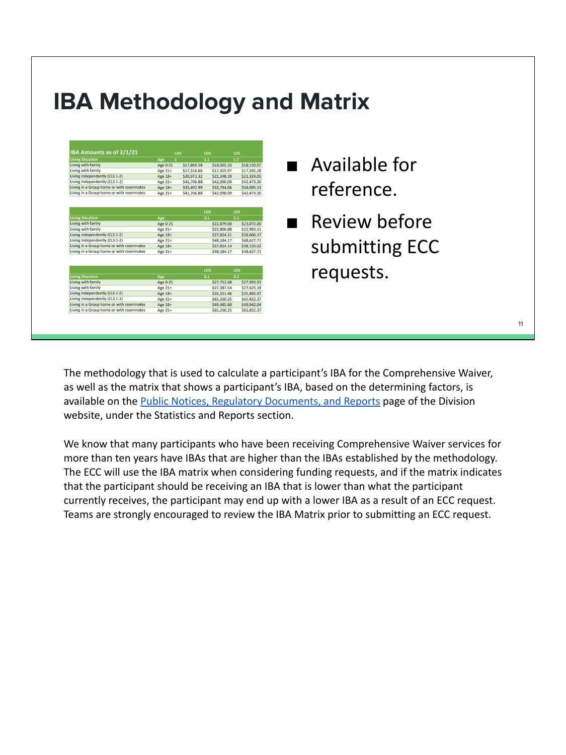#### **IBA Methodology and Matrix**

| IBA Amounts as of 2/1/21                 |                    | LOS          | LOS         | LOS                        |
|------------------------------------------|--------------------|--------------|-------------|----------------------------|
| <b>Living Situation</b>                  | Age                | $\mathbf{1}$ | 1.1         | 1.2                        |
| Living with family                       | Age 0-21           | \$17,860.58  | \$18,005.33 | \$18,150.07                |
| Living with family                       | Age 21+            | \$17,316.66  | \$17,455.97 | \$17,595.28                |
| Living independently (CLS 1-2)           | Age 18+            | \$20,972.32  | \$21,148.19 | \$21,324.05                |
| Living Independently (CLS 1-2)           | Age 21+            | \$41,706.88  | \$42,090.09 | \$42,473.30                |
| Living in a Group home or with roommates | Age 18+            | \$33,492.99  | \$33,794.06 | \$34,095.13                |
| Living in a Group home or with roommates | Age 21+            | \$41,706.88  | \$42,090.09 | \$42,473.30                |
|                                          |                    |              | LOS         | LOS                        |
| <b>Living Situation</b>                  |                    |              | 2.1         | 2.2                        |
| Living with family                       | Age<br>Age 0-21    |              | \$22,879.00 | \$23,072.00                |
| Living with family                       |                    |              | \$22,800.88 | \$22,993.11                |
| Living independently (CLS 1-2)           | Age 21+<br>Age 18+ |              | \$27.824.21 | \$28,066.17                |
| Living Independently (CLS 1-2)           | Age 21+            |              | \$48,184.17 | \$48,627.71                |
| Living in a Group home or with roommates |                    |              |             |                            |
|                                          | Age 18+            |              | \$37,814.14 | \$38,155.02<br>\$48,627.71 |
| Living in a Group home or with roommates | Age 21+            |              | \$48,184.17 |                            |
|                                          |                    |              | LOS         | LOS                        |
| <b>Living Situation</b>                  | Age                |              | 3.1         | 3.2                        |
| Living with family                       | Age 0-21           |              | \$27,752.68 | \$27,993.93                |
| Living with family                       | Age 21+            |              | \$27,387.54 | \$27,625.18                |
| Living independently (CLS 1-2)           | Age 18+            |              | \$35.151.46 | \$35,465.97                |
| Living Independently (CLS 1-2)           | Age 21+            |              | \$65,210.25 | \$65,822.37                |
| Living in a Group home or with roommates | Age 18+            |              | \$49,485.60 | \$49,942.04                |
| Living in a Group home or with roommates | <b>Age 21+</b>     |              | \$65,210.25 | \$65,822.37                |

- Available for reference.
- Review before submitting ECC requests.

The methodology that is used to calculate a participant's IBA for the Comprehensive Waiver, as well as the matrix that shows a participant's IBA, based on the determining factors, is available on the [Public Notices, Regulatory Documents, and Reports](https://health.wyo.gov/healthcarefin/hcbs/hcbs-public-notices/) page of the Division website, under the Statistics and Reports section.

We know that many participants who have been receiving Comprehensive Waiver services for more than ten years have IBAs that are higher than the IBAs established by the methodology. The ECC will use the IBA matrix when considering funding requests, and if the matrix indicates that the participant should be receiving an IBA that is lower than what the participant currently receives, the participant may end up with a lower IBA as a result of an ECC request. Teams are strongly encouraged to review the IBA Matrix prior to submitting an ECC request.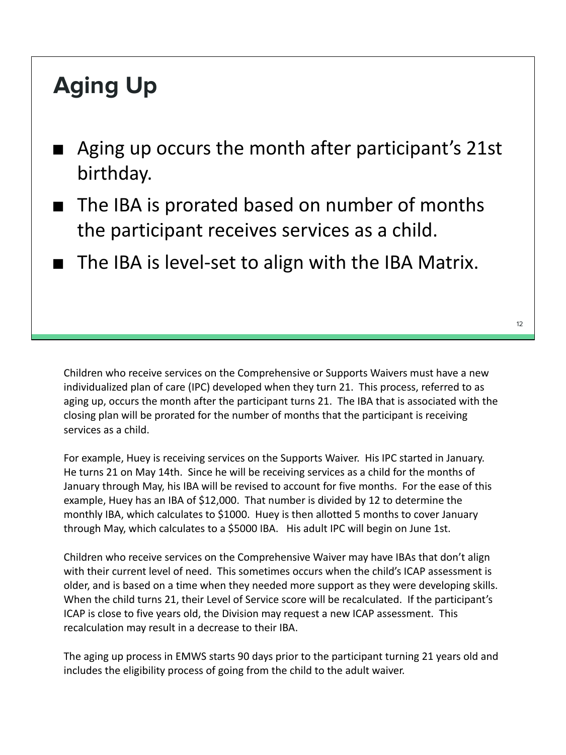# **Aging Up**

- Aging up occurs the month after participant's 21st birthday.
- The IBA is prorated based on number of months the participant receives services as a child.
- The IBA is level-set to align with the IBA Matrix.

Children who receive services on the Comprehensive or Supports Waivers must have a new individualized plan of care (IPC) developed when they turn 21. This process, referred to as aging up, occurs the month after the participant turns 21. The IBA that is associated with the closing plan will be prorated for the number of months that the participant is receiving services as a child.

For example, Huey is receiving services on the Supports Waiver. His IPC started in January. He turns 21 on May 14th. Since he will be receiving services as a child for the months of January through May, his IBA will be revised to account for five months. For the ease of this example, Huey has an IBA of \$12,000. That number is divided by 12 to determine the monthly IBA, which calculates to \$1000. Huey is then allotted 5 months to cover January through May, which calculates to a \$5000 IBA. His adult IPC will begin on June 1st.

Children who receive services on the Comprehensive Waiver may have IBAs that don't align with their current level of need. This sometimes occurs when the child's ICAP assessment is older, and is based on a time when they needed more support as they were developing skills. When the child turns 21, their Level of Service score will be recalculated. If the participant's ICAP is close to five years old, the Division may request a new ICAP assessment. This recalculation may result in a decrease to their IBA.

The aging up process in EMWS starts 90 days prior to the participant turning 21 years old and includes the eligibility process of going from the child to the adult waiver.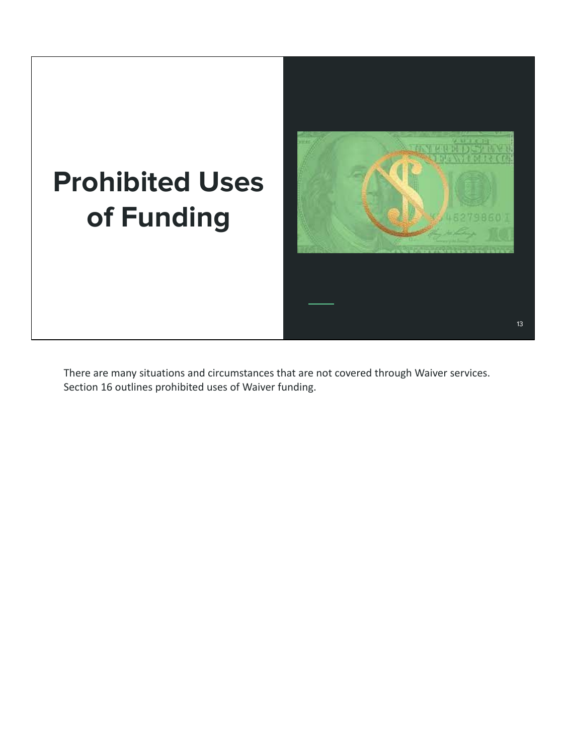

There are many situations and circumstances that are not covered through Waiver services. Section 16 outlines prohibited uses of Waiver funding.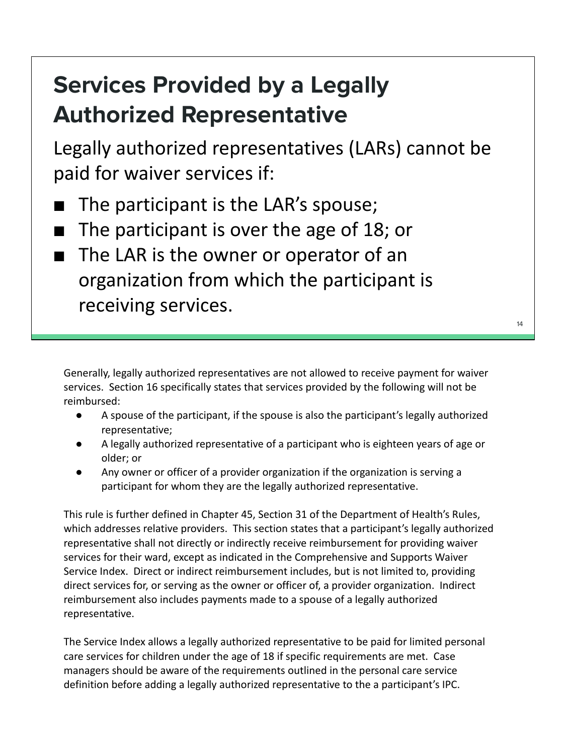## **Services Provided by a Legally Authorized Representative**

Legally authorized representatives (LARs) cannot be paid for waiver services if:

- The participant is the LAR's spouse;
- The participant is over the age of 18; or
- The LAR is the owner or operator of an organization from which the participant is receiving services.

Generally, legally authorized representatives are not allowed to receive payment for waiver services. Section 16 specifically states that services provided by the following will not be reimbursed:

- A spouse of the participant, if the spouse is also the participant's legally authorized representative;
- A legally authorized representative of a participant who is eighteen years of age or older; or
- Any owner or officer of a provider organization if the organization is serving a participant for whom they are the legally authorized representative.

This rule is further defined in Chapter 45, Section 31 of the Department of Health's Rules, which addresses relative providers. This section states that a participant's legally authorized representative shall not directly or indirectly receive reimbursement for providing waiver services for their ward, except as indicated in the Comprehensive and Supports Waiver Service Index. Direct or indirect reimbursement includes, but is not limited to, providing direct services for, or serving as the owner or officer of, a provider organization. Indirect reimbursement also includes payments made to a spouse of a legally authorized representative.

The Service Index allows a legally authorized representative to be paid for limited personal care services for children under the age of 18 if specific requirements are met. Case managers should be aware of the requirements outlined in the personal care service definition before adding a legally authorized representative to the a participant's IPC.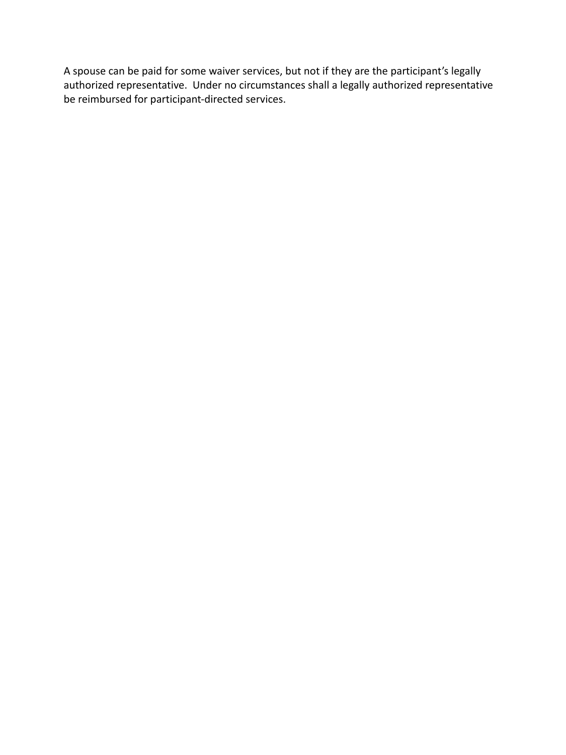A spouse can be paid for some waiver services, but not if they are the participant's legally authorized representative. Under no circumstances shall a legally authorized representative be reimbursed for participant-directed services.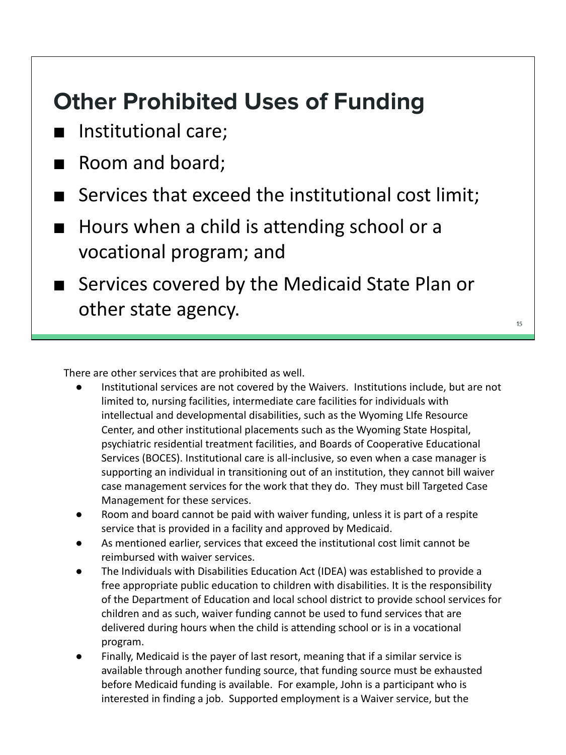### **Other Prohibited Uses of Funding**

- Institutional care;
- Room and board;
- Services that exceed the institutional cost limit;
- Hours when a child is attending school or a vocational program; and
- Services covered by the Medicaid State Plan or other state agency.

There are other services that are prohibited as well.

- Institutional services are not covered by the Waivers. Institutions include, but are not limited to, nursing facilities, intermediate care facilities for individuals with intellectual and developmental disabilities, such as the Wyoming LIfe Resource Center, and other institutional placements such as the Wyoming State Hospital, psychiatric residential treatment facilities, and Boards of Cooperative Educational Services (BOCES). Institutional care is all-inclusive, so even when a case manager is supporting an individual in transitioning out of an institution, they cannot bill waiver case management services for the work that they do. They must bill Targeted Case Management for these services.
- Room and board cannot be paid with waiver funding, unless it is part of a respite service that is provided in a facility and approved by Medicaid.
- As mentioned earlier, services that exceed the institutional cost limit cannot be reimbursed with waiver services.
- The Individuals with Disabilities Education Act (IDEA) was established to provide a free appropriate public education to children with disabilities. It is the responsibility of the Department of Education and local school district to provide school services for children and as such, waiver funding cannot be used to fund services that are delivered during hours when the child is attending school or is in a vocational program.
- Finally, Medicaid is the payer of last resort, meaning that if a similar service is available through another funding source, that funding source must be exhausted before Medicaid funding is available. For example, John is a participant who is interested in finding a job. Supported employment is a Waiver service, but the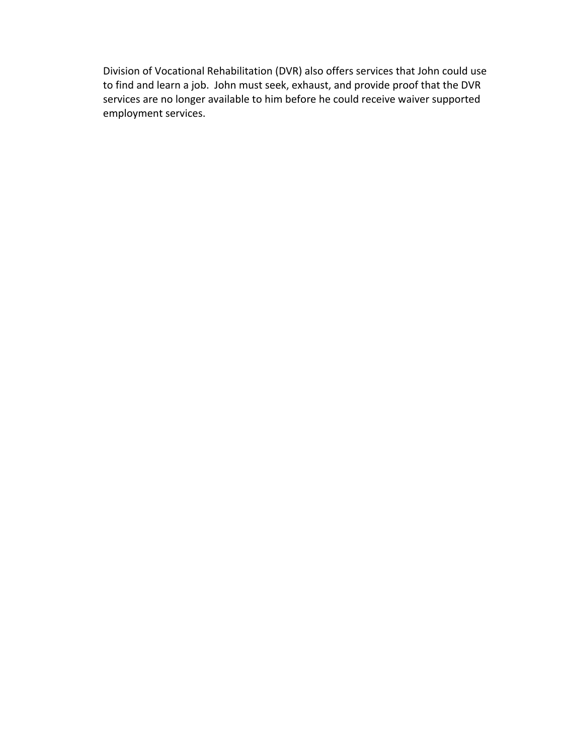Division of Vocational Rehabilitation (DVR) also offers services that John could use to find and learn a job. John must seek, exhaust, and provide proof that the DVR services are no longer available to him before he could receive waiver supported employment services.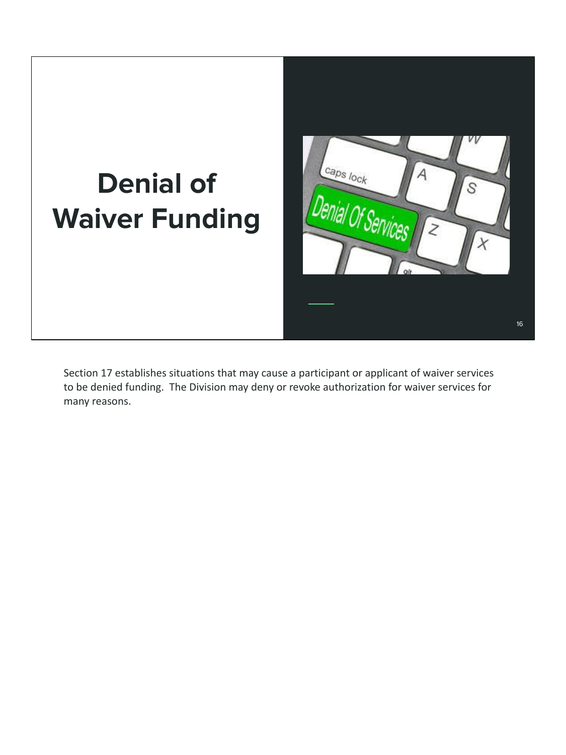# **Denial of Waiver Funding**



Section 17 establishes situations that may cause a participant or applicant of waiver services to be denied funding. The Division may deny or revoke authorization for waiver services for many reasons.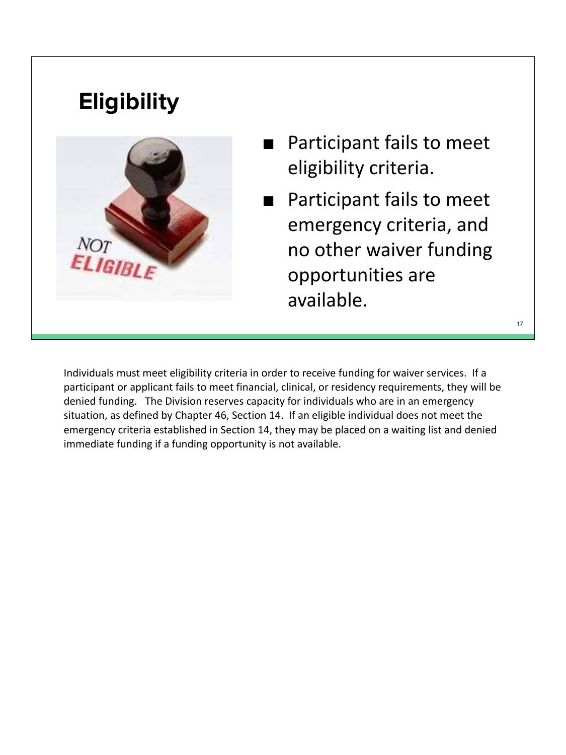### **Eligibility**



- Participant fails to meet eligibility criteria.
- Participant fails to meet emergency criteria, and no other waiver funding opportunities are available.

17

Individuals must meet eligibility criteria in order to receive funding for waiver services. If a participant or applicant fails to meet financial, clinical, or residency requirements, they will be denied funding. The Division reserves capacity for individuals who are in an emergency situation, as defined by Chapter 46, Section 14. If an eligible individual does not meet the emergency criteria established in Section 14, they may be placed on a waiting list and denied immediate funding if a funding opportunity is not available.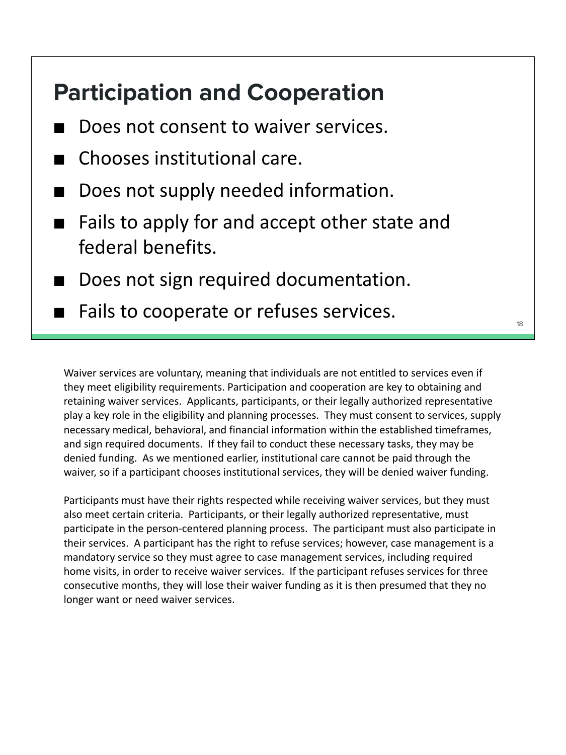#### **Participation and Cooperation**

- Does not consent to waiver services.
- Chooses institutional care.
- Does not supply needed information.
- Fails to apply for and accept other state and federal benefits.
- Does not sign required documentation.
- Fails to cooperate or refuses services.

Waiver services are voluntary, meaning that individuals are not entitled to services even if they meet eligibility requirements. Participation and cooperation are key to obtaining and retaining waiver services. Applicants, participants, or their legally authorized representative play a key role in the eligibility and planning processes. They must consent to services, supply necessary medical, behavioral, and financial information within the established timeframes, and sign required documents. If they fail to conduct these necessary tasks, they may be denied funding. As we mentioned earlier, institutional care cannot be paid through the waiver, so if a participant chooses institutional services, they will be denied waiver funding.

Participants must have their rights respected while receiving waiver services, but they must also meet certain criteria. Participants, or their legally authorized representative, must participate in the person-centered planning process. The participant must also participate in their services. A participant has the right to refuse services; however, case management is a mandatory service so they must agree to case management services, including required home visits, in order to receive waiver services. If the participant refuses services for three consecutive months, they will lose their waiver funding as it is then presumed that they no longer want or need waiver services.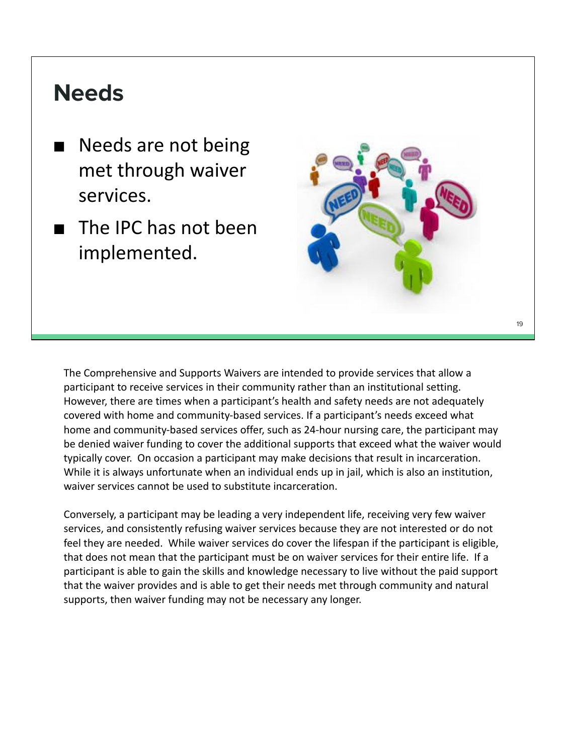#### **Needs**

- Needs are not being met through waiver services.
- The IPC has not been implemented.



 $1<sup>°</sup>$ 

The Comprehensive and Supports Waivers are intended to provide services that allow a participant to receive services in their community rather than an institutional setting. However, there are times when a participant's health and safety needs are not adequately covered with home and community-based services. If a participant's needs exceed what home and community-based services offer, such as 24-hour nursing care, the participant may be denied waiver funding to cover the additional supports that exceed what the waiver would typically cover. On occasion a participant may make decisions that result in incarceration. While it is always unfortunate when an individual ends up in jail, which is also an institution, waiver services cannot be used to substitute incarceration.

Conversely, a participant may be leading a very independent life, receiving very few waiver services, and consistently refusing waiver services because they are not interested or do not feel they are needed. While waiver services do cover the lifespan if the participant is eligible, that does not mean that the participant must be on waiver services for their entire life. If a participant is able to gain the skills and knowledge necessary to live without the paid support that the waiver provides and is able to get their needs met through community and natural supports, then waiver funding may not be necessary any longer.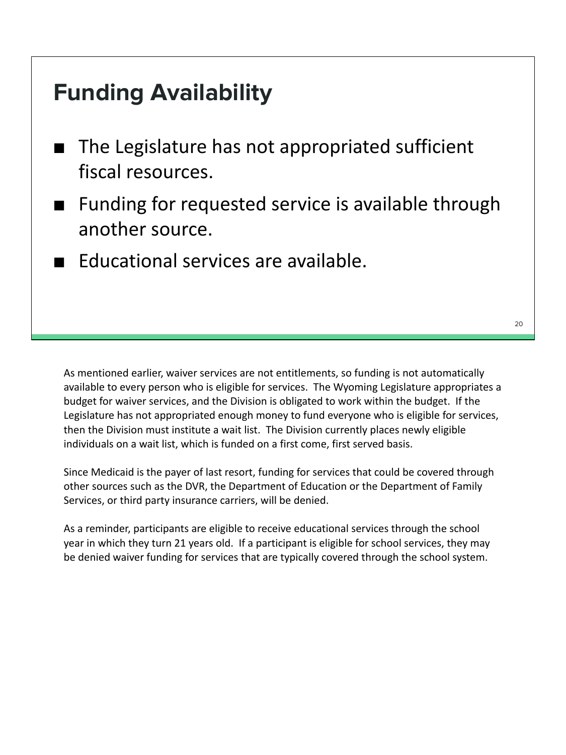#### **Funding Availability**

- The Legislature has not appropriated sufficient fiscal resources.
- Funding for requested service is available through another source.
- Educational services are available.

As mentioned earlier, waiver services are not entitlements, so funding is not automatically available to every person who is eligible for services. The Wyoming Legislature appropriates a budget for waiver services, and the Division is obligated to work within the budget. If the Legislature has not appropriated enough money to fund everyone who is eligible for services, then the Division must institute a wait list. The Division currently places newly eligible individuals on a wait list, which is funded on a first come, first served basis.

Since Medicaid is the payer of last resort, funding for services that could be covered through other sources such as the DVR, the Department of Education or the Department of Family Services, or third party insurance carriers, will be denied.

As a reminder, participants are eligible to receive educational services through the school year in which they turn 21 years old. If a participant is eligible for school services, they may be denied waiver funding for services that are typically covered through the school system.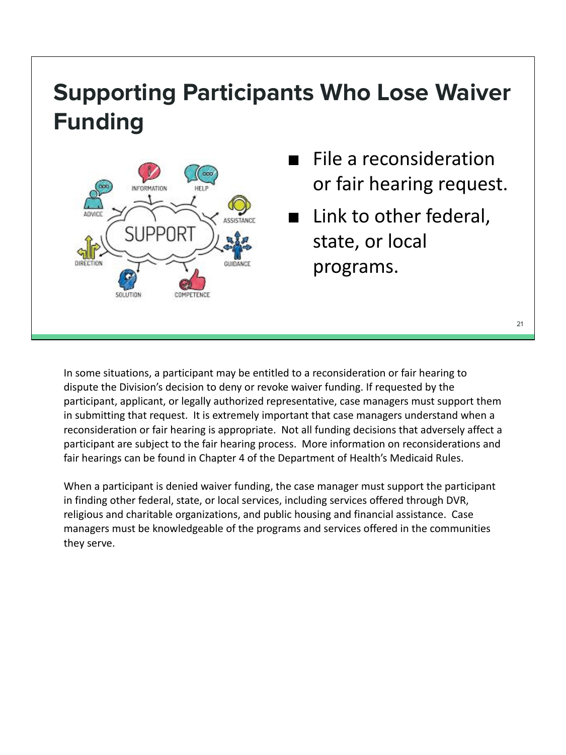## **Supporting Participants Who Lose Waiver Funding**



- File a reconsideration or fair hearing request.
- Link to other federal, state, or local programs.

In some situations, a participant may be entitled to a reconsideration or fair hearing to dispute the Division's decision to deny or revoke waiver funding. If requested by the participant, applicant, or legally authorized representative, case managers must support them in submitting that request. It is extremely important that case managers understand when a reconsideration or fair hearing is appropriate. Not all funding decisions that adversely affect a participant are subject to the fair hearing process. More information on reconsiderations and fair hearings can be found in Chapter 4 of the Department of Health's Medicaid Rules.

When a participant is denied waiver funding, the case manager must support the participant in finding other federal, state, or local services, including services offered through DVR, religious and charitable organizations, and public housing and financial assistance. Case managers must be knowledgeable of the programs and services offered in the communities they serve.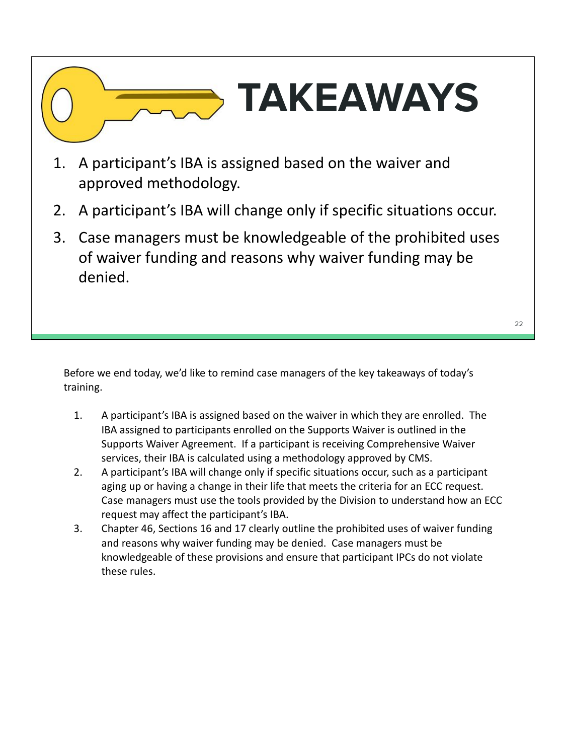# **TAKEAWAYS**

- 1. A participant's IBA is assigned based on the waiver and approved methodology.
- 2. A participant's IBA will change only if specific situations occur.
- 3. Case managers must be knowledgeable of the prohibited uses of waiver funding and reasons why waiver funding may be denied.

Before we end today, we'd like to remind case managers of the key takeaways of today's training.

- 1. A participant's IBA is assigned based on the waiver in which they are enrolled. The IBA assigned to participants enrolled on the Supports Waiver is outlined in the Supports Waiver Agreement. If a participant is receiving Comprehensive Waiver services, their IBA is calculated using a methodology approved by CMS.
- 2. A participant's IBA will change only if specific situations occur, such as a participant aging up or having a change in their life that meets the criteria for an ECC request. Case managers must use the tools provided by the Division to understand how an ECC request may affect the participant's IBA.
- 3. Chapter 46, Sections 16 and 17 clearly outline the prohibited uses of waiver funding and reasons why waiver funding may be denied. Case managers must be knowledgeable of these provisions and ensure that participant IPCs do not violate these rules.